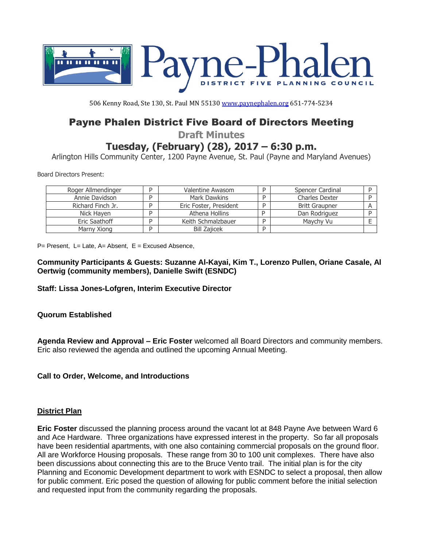

506 Kenny Road, Ste 130, St. Paul MN 55130 [www.paynephalen.org](http://www.paynephalen.org/) 651-774-5234

# Payne Phalen District Five Board of Directors Meeting

**Draft Minutes**

## **Tuesday, (February) (28), 2017 – 6:30 p.m.**

Arlington Hills Community Center, 1200 Payne Avenue, St. Paul (Payne and Maryland Avenues)

Board Directors Present:

| Roger Allmendinger | Valentine Awasom       | Spencer Cardinal      |  |
|--------------------|------------------------|-----------------------|--|
| Annie Davidson     | Mark Dawkins           | <b>Charles Dexter</b> |  |
| Richard Finch Jr.  | Eric Foster, President | <b>Britt Graupner</b> |  |
| Nick Haven         | Athena Hollins         | Dan Rodriguez         |  |
| Eric Saathoff      | Keith Schmalzbauer     | Maychy Vu             |  |
| Marny Xiong        | <b>Bill Zajicek</b>    |                       |  |

 $P=$  Present, L= Late, A= Absent, E = Excused Absence,

**Community Participants & Guests: Suzanne Al-Kayai, Kim T., Lorenzo Pullen, Oriane Casale, Al Oertwig (community members), Danielle Swift (ESNDC)**

**Staff: Lissa Jones-Lofgren, Interim Executive Director** 

## **Quorum Established**

**Agenda Review and Approval – Eric Foster** welcomed all Board Directors and community members. Eric also reviewed the agenda and outlined the upcoming Annual Meeting.

## **Call to Order, Welcome, and Introductions**

## **District Plan**

**Eric Foster** discussed the planning process around the vacant lot at 848 Payne Ave between Ward 6 and Ace Hardware. Three organizations have expressed interest in the property. So far all proposals have been residential apartments, with one also containing commercial proposals on the ground floor. All are Workforce Housing proposals. These range from 30 to 100 unit complexes. There have also been discussions about connecting this are to the Bruce Vento trail. The initial plan is for the city Planning and Economic Development department to work with ESNDC to select a proposal, then allow for public comment. Eric posed the question of allowing for public comment before the initial selection and requested input from the community regarding the proposals.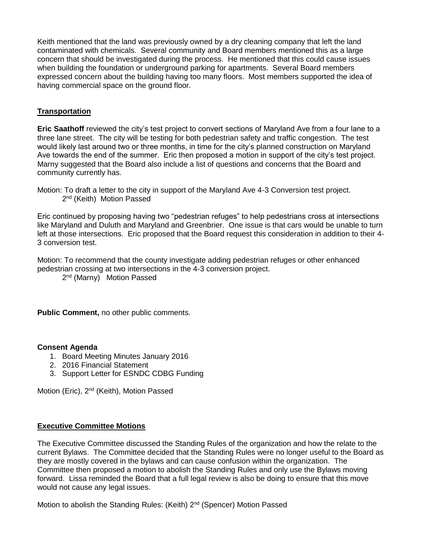Keith mentioned that the land was previously owned by a dry cleaning company that left the land contaminated with chemicals. Several community and Board members mentioned this as a large concern that should be investigated during the process. He mentioned that this could cause issues when building the foundation or underground parking for apartments. Several Board members expressed concern about the building having too many floors. Most members supported the idea of having commercial space on the ground floor.

## **Transportation**

**Eric Saathoff** reviewed the city's test project to convert sections of Maryland Ave from a four lane to a three lane street. The city will be testing for both pedestrian safety and traffic congestion. The test would likely last around two or three months, in time for the city's planned construction on Maryland Ave towards the end of the summer. Eric then proposed a motion in support of the city's test project. Marny suggested that the Board also include a list of questions and concerns that the Board and community currently has.

Eric continued by proposing having two "pedestrian refuges" to help pedestrians cross at intersections like Maryland and Duluth and Maryland and Greenbrier. One issue is that cars would be unable to turn left at those intersections. Eric proposed that the Board request this consideration in addition to their 4- 3 conversion test.

Motion: To recommend that the county investigate adding pedestrian refuges or other enhanced pedestrian crossing at two intersections in the 4-3 conversion project.

2<sup>nd</sup> (Marny) Motion Passed

**Public Comment,** no other public comments.

#### **Consent Agenda**

- 1. Board Meeting Minutes January 2016
- 2. 2016 Financial Statement
- 3. Support Letter for ESNDC CDBG Funding

Motion (Eric), 2<sup>nd</sup> (Keith), Motion Passed

#### **Executive Committee Motions**

The Executive Committee discussed the Standing Rules of the organization and how the relate to the current Bylaws. The Committee decided that the Standing Rules were no longer useful to the Board as they are mostly covered in the bylaws and can cause confusion within the organization. The Committee then proposed a motion to abolish the Standing Rules and only use the Bylaws moving forward. Lissa reminded the Board that a full legal review is also be doing to ensure that this move would not cause any legal issues.

Motion to abolish the Standing Rules: (Keith) 2<sup>nd</sup> (Spencer) Motion Passed

Motion: To draft a letter to the city in support of the Maryland Ave 4-3 Conversion test project. 2<sup>nd</sup> (Keith) Motion Passed